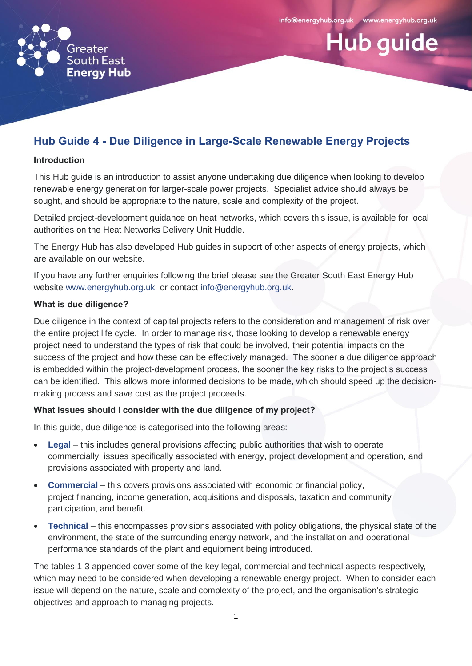info@energyhub.org.uk www.energyhub.org.uk

**Hub guide** 



#### **Hub Guide 4 - Due Diligence in Large-Scale Renewable Energy Projects**

#### **Introduction**

This Hub guide is an introduction to assist anyone undertaking due diligence when looking to develop renewable energy generation for larger-scale power projects. Specialist advice should always be sought, and should be appropriate to the nature, scale and complexity of the project.

Detailed project-development guidance on heat networks, which covers this issue, is available for local authorities on the Heat Networks Delivery Unit Huddle.

The Energy Hub has also developed Hub guides in support of other aspects of energy projects, which are available on our website.

If you have any further enquiries following the brief please see the Greater South East Energy Hub website [www.energyhub.org.uk](http://www.energyhub.org.uk/) or contact [info@energyhub.org.uk.](mailto:info@energyhub.org.uk)

#### **What is due diligence?**

Due diligence in the context of capital projects refers to the consideration and management of risk over the entire project life cycle. In order to manage risk, those looking to develop a renewable energy project need to understand the types of risk that could be involved, their potential impacts on the success of the project and how these can be effectively managed. The sooner a due diligence approach is embedded within the project-development process, the sooner the key risks to the project's success can be identified. This allows more informed decisions to be made, which should speed up the decisionmaking process and save cost as the project proceeds.

#### **What issues should I consider with the due diligence of my project?**

In this guide, due diligence is categorised into the following areas:

- **Legal** this includes general provisions affecting public authorities that wish to operate commercially, issues specifically associated with energy, project development and operation, and provisions associated with property and land.
- **Commercial** this covers provisions associated with economic or financial policy, project financing, income generation, acquisitions and disposals, taxation and community participation, and benefit.
- **Technical** this encompasses provisions associated with policy obligations, the physical state of the environment, the state of the surrounding energy network, and the installation and operational performance standards of the plant and equipment being introduced.

The tables 1-3 appended cover some of the key legal, commercial and technical aspects respectively, which may need to be considered when developing a renewable energy project. When to consider each issue will depend on the nature, scale and complexity of the project, and the organisation's strategic objectives and approach to managing projects.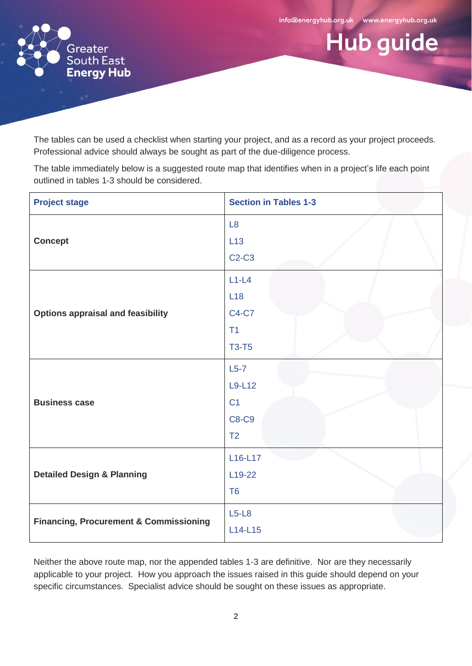info@energyhub.org.uk www.energyhub.org.uk

Hub guide



The tables can be used a checklist when starting your project, and as a record as your project proceeds. Professional advice should always be sought as part of the due-diligence process.

The table immediately below is a suggested route map that identifies when in a project's life each point outlined in tables 1-3 should be considered.

| <b>Project stage</b>                              | <b>Section in Tables 1-3</b>                                         |
|---------------------------------------------------|----------------------------------------------------------------------|
| <b>Concept</b>                                    | L8<br>L13<br>$C2-C3$                                                 |
| <b>Options appraisal and feasibility</b>          | $L1-L4$<br>L18<br><b>C4-C7</b><br>T1<br><b>T3-T5</b>                 |
| <b>Business case</b>                              | $L5-7$<br>L9-L12<br>C <sub>1</sub><br><b>C8-C9</b><br>T <sub>2</sub> |
| <b>Detailed Design &amp; Planning</b>             | L16-L17<br>L <sub>19</sub> -22<br>T <sub>6</sub>                     |
| <b>Financing, Procurement &amp; Commissioning</b> | $L5-L8$<br>$L14-L15$                                                 |

Neither the above route map, nor the appended tables 1-3 are definitive. Nor are they necessarily applicable to your project. How you approach the issues raised in this guide should depend on your specific circumstances. Specialist advice should be sought on these issues as appropriate.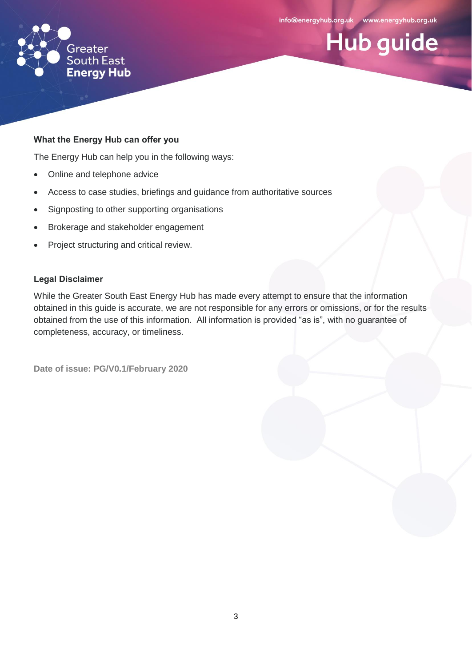Hub guide



#### **What the Energy Hub can offer you**

The Energy Hub can help you in the following ways:

- Online and telephone advice
- Access to case studies, briefings and guidance from authoritative sources
- Signposting to other supporting organisations
- Brokerage and stakeholder engagement
- Project structuring and critical review.

#### **Legal Disclaimer**

While the Greater South East Energy Hub has made every attempt to ensure that the information obtained in this guide is accurate, we are not responsible for any errors or omissions, or for the results obtained from the use of this information. All information is provided "as is", with no guarantee of completeness, accuracy, or timeliness.

**Date of issue: PG/V0.1/February 2020**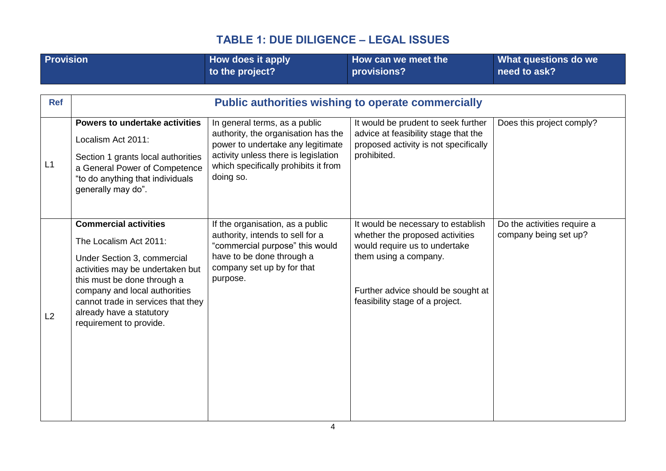<span id="page-3-0"></span>

| <b>Provision</b> |                                                                                                                                                                                                                                                                                        | How does it apply<br>to the project?                                                                                                                                                                   | How can we meet the<br>provisions?                                                                                                                                                                       | What questions do we<br>need to ask?                 |
|------------------|----------------------------------------------------------------------------------------------------------------------------------------------------------------------------------------------------------------------------------------------------------------------------------------|--------------------------------------------------------------------------------------------------------------------------------------------------------------------------------------------------------|----------------------------------------------------------------------------------------------------------------------------------------------------------------------------------------------------------|------------------------------------------------------|
| <b>Ref</b>       |                                                                                                                                                                                                                                                                                        |                                                                                                                                                                                                        | <b>Public authorities wishing to operate commercially</b>                                                                                                                                                |                                                      |
| L1               | Powers to undertake activities<br>Localism Act 2011:<br>Section 1 grants local authorities<br>a General Power of Competence<br>"to do anything that individuals<br>generally may do".                                                                                                  | In general terms, as a public<br>authority, the organisation has the<br>power to undertake any legitimate<br>activity unless there is legislation<br>which specifically prohibits it from<br>doing so. | It would be prudent to seek further<br>advice at feasibility stage that the<br>proposed activity is not specifically<br>prohibited.                                                                      | Does this project comply?                            |
| L2               | <b>Commercial activities</b><br>The Localism Act 2011:<br>Under Section 3, commercial<br>activities may be undertaken but<br>this must be done through a<br>company and local authorities<br>cannot trade in services that they<br>already have a statutory<br>requirement to provide. | If the organisation, as a public<br>authority, intends to sell for a<br>"commercial purpose" this would<br>have to be done through a<br>company set up by for that<br>purpose.                         | It would be necessary to establish<br>whether the proposed activities<br>would require us to undertake<br>them using a company.<br>Further advice should be sought at<br>feasibility stage of a project. | Do the activities require a<br>company being set up? |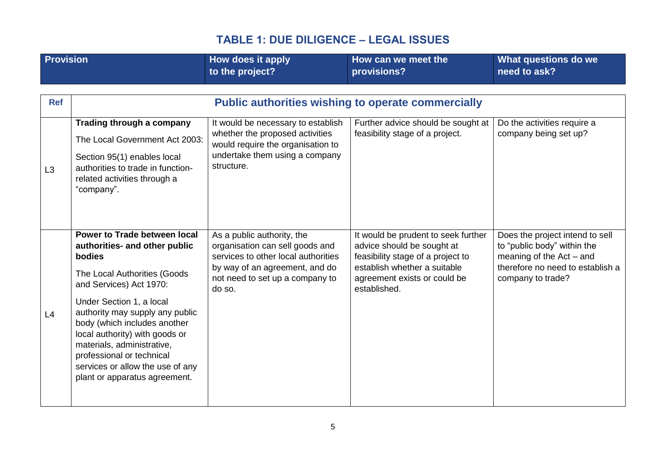| <b>Provision</b> |                                                                                                                                                                                                                                                                                                                                                                                                     | How does it apply<br>to the project?                                                                                                                                                | How can we meet the<br>provisions?                                                                                                                                                     | What questions do we<br>need to ask?                                                                                                                  |
|------------------|-----------------------------------------------------------------------------------------------------------------------------------------------------------------------------------------------------------------------------------------------------------------------------------------------------------------------------------------------------------------------------------------------------|-------------------------------------------------------------------------------------------------------------------------------------------------------------------------------------|----------------------------------------------------------------------------------------------------------------------------------------------------------------------------------------|-------------------------------------------------------------------------------------------------------------------------------------------------------|
|                  |                                                                                                                                                                                                                                                                                                                                                                                                     |                                                                                                                                                                                     |                                                                                                                                                                                        |                                                                                                                                                       |
| <b>Ref</b>       |                                                                                                                                                                                                                                                                                                                                                                                                     |                                                                                                                                                                                     | <b>Public authorities wishing to operate commercially</b>                                                                                                                              |                                                                                                                                                       |
| L3               | Trading through a company<br>The Local Government Act 2003:<br>Section 95(1) enables local<br>authorities to trade in function-<br>related activities through a<br>"company".                                                                                                                                                                                                                       | It would be necessary to establish<br>whether the proposed activities<br>would require the organisation to<br>undertake them using a company<br>structure.                          | Further advice should be sought at<br>feasibility stage of a project.                                                                                                                  | Do the activities require a<br>company being set up?                                                                                                  |
| L4               | Power to Trade between local<br>authorities- and other public<br>bodies<br>The Local Authorities (Goods<br>and Services) Act 1970:<br>Under Section 1, a local<br>authority may supply any public<br>body (which includes another<br>local authority) with goods or<br>materials, administrative,<br>professional or technical<br>services or allow the use of any<br>plant or apparatus agreement. | As a public authority, the<br>organisation can sell goods and<br>services to other local authorities<br>by way of an agreement, and do<br>not need to set up a company to<br>do so. | It would be prudent to seek further<br>advice should be sought at<br>feasibility stage of a project to<br>establish whether a suitable<br>agreement exists or could be<br>established. | Does the project intend to sell<br>to "public body" within the<br>meaning of the $Act - and$<br>therefore no need to establish a<br>company to trade? |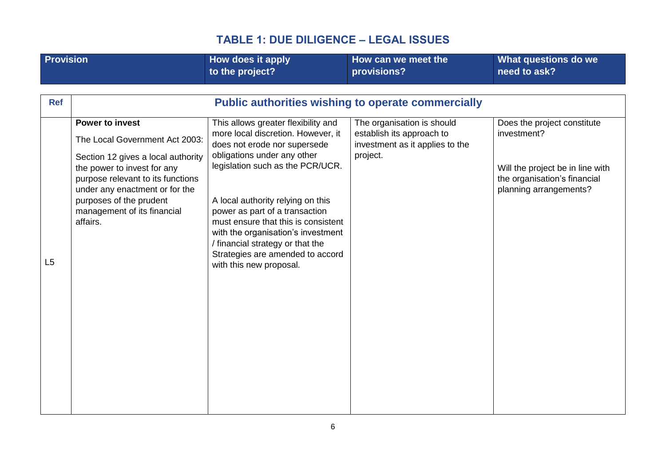<span id="page-5-0"></span>

| <b>Provision</b> |                                                                                                                                                                                                                                                                            | How does it apply<br>to the project?                                                                                                                                                                                                                                                                                                                                                                                                | How can we meet the<br>provisions?                                                                     | What questions do we<br>need to ask?                                                                                                     |
|------------------|----------------------------------------------------------------------------------------------------------------------------------------------------------------------------------------------------------------------------------------------------------------------------|-------------------------------------------------------------------------------------------------------------------------------------------------------------------------------------------------------------------------------------------------------------------------------------------------------------------------------------------------------------------------------------------------------------------------------------|--------------------------------------------------------------------------------------------------------|------------------------------------------------------------------------------------------------------------------------------------------|
|                  |                                                                                                                                                                                                                                                                            |                                                                                                                                                                                                                                                                                                                                                                                                                                     |                                                                                                        |                                                                                                                                          |
| <b>Ref</b>       |                                                                                                                                                                                                                                                                            |                                                                                                                                                                                                                                                                                                                                                                                                                                     | <b>Public authorities wishing to operate commercially</b>                                              |                                                                                                                                          |
| L5               | <b>Power to invest</b><br>The Local Government Act 2003:<br>Section 12 gives a local authority<br>the power to invest for any<br>purpose relevant to its functions<br>under any enactment or for the<br>purposes of the prudent<br>management of its financial<br>affairs. | This allows greater flexibility and<br>more local discretion. However, it<br>does not erode nor supersede<br>obligations under any other<br>legislation such as the PCR/UCR.<br>A local authority relying on this<br>power as part of a transaction<br>must ensure that this is consistent<br>with the organisation's investment<br>/ financial strategy or that the<br>Strategies are amended to accord<br>with this new proposal. | The organisation is should<br>establish its approach to<br>investment as it applies to the<br>project. | Does the project constitute<br>investment?<br>Will the project be in line with<br>the organisation's financial<br>planning arrangements? |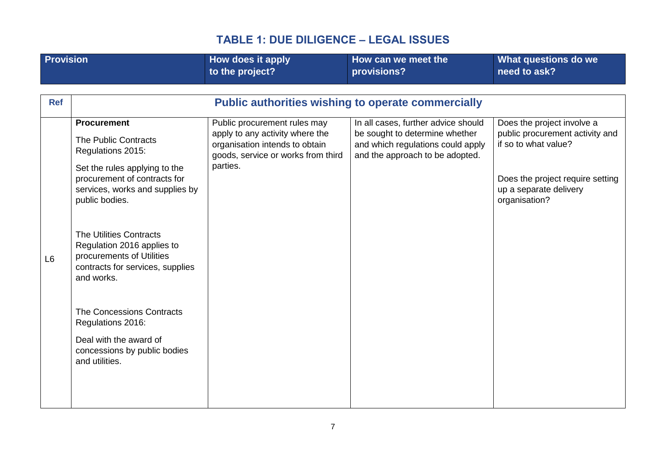| <b>Provision</b> |                                                                                                                                             | How does it apply<br>to the project?                                                                                                    | How can we meet the<br>provisions?                                                                                                            | What questions do we<br>need to ask?                                                  |
|------------------|---------------------------------------------------------------------------------------------------------------------------------------------|-----------------------------------------------------------------------------------------------------------------------------------------|-----------------------------------------------------------------------------------------------------------------------------------------------|---------------------------------------------------------------------------------------|
|                  |                                                                                                                                             |                                                                                                                                         |                                                                                                                                               |                                                                                       |
|                  |                                                                                                                                             |                                                                                                                                         |                                                                                                                                               |                                                                                       |
| <b>Ref</b>       |                                                                                                                                             |                                                                                                                                         | <b>Public authorities wishing to operate commercially</b>                                                                                     |                                                                                       |
|                  | <b>Procurement</b><br>The Public Contracts<br>Regulations 2015:                                                                             | Public procurement rules may<br>apply to any activity where the<br>organisation intends to obtain<br>goods, service or works from third | In all cases, further advice should<br>be sought to determine whether<br>and which regulations could apply<br>and the approach to be adopted. | Does the project involve a<br>public procurement activity and<br>if so to what value? |
|                  | Set the rules applying to the<br>procurement of contracts for<br>services, works and supplies by<br>public bodies.                          | parties.                                                                                                                                |                                                                                                                                               | Does the project require setting<br>up a separate delivery<br>organisation?           |
| L <sub>6</sub>   | <b>The Utilities Contracts</b><br>Regulation 2016 applies to<br>procurements of Utilities<br>contracts for services, supplies<br>and works. |                                                                                                                                         |                                                                                                                                               |                                                                                       |
|                  | <b>The Concessions Contracts</b><br>Regulations 2016:                                                                                       |                                                                                                                                         |                                                                                                                                               |                                                                                       |
|                  | Deal with the award of<br>concessions by public bodies<br>and utilities.                                                                    |                                                                                                                                         |                                                                                                                                               |                                                                                       |
|                  |                                                                                                                                             |                                                                                                                                         |                                                                                                                                               |                                                                                       |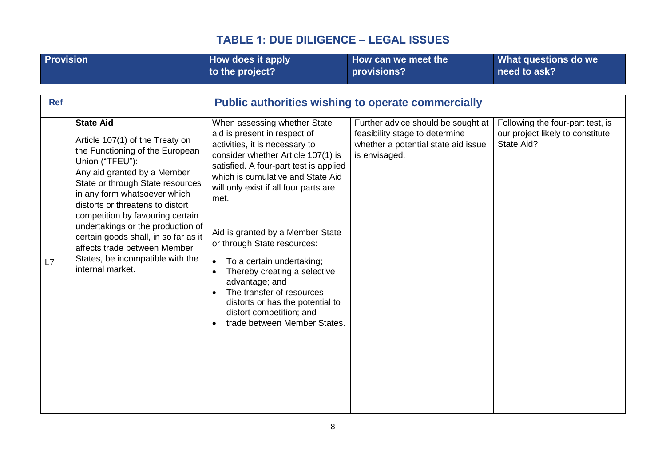| <b>Provision</b> |                                                                                                                                                                                                                                                                                                                                                                                                                                       | How does it apply<br>to the project?                                                                                                                                                                                                                                                                                                                                                                                                                                                                                             | How can we meet the<br>provisions?                                                     | What questions do we<br>need to ask?           |
|------------------|---------------------------------------------------------------------------------------------------------------------------------------------------------------------------------------------------------------------------------------------------------------------------------------------------------------------------------------------------------------------------------------------------------------------------------------|----------------------------------------------------------------------------------------------------------------------------------------------------------------------------------------------------------------------------------------------------------------------------------------------------------------------------------------------------------------------------------------------------------------------------------------------------------------------------------------------------------------------------------|----------------------------------------------------------------------------------------|------------------------------------------------|
| <b>Ref</b>       | <b>State Aid</b>                                                                                                                                                                                                                                                                                                                                                                                                                      | <b>Public authorities wishing to operate commercially</b><br>When assessing whether State                                                                                                                                                                                                                                                                                                                                                                                                                                        | Further advice should be sought at                                                     | Following the four-part test, is               |
| L7               | Article 107(1) of the Treaty on<br>the Functioning of the European<br>Union ("TFEU"):<br>Any aid granted by a Member<br>State or through State resources<br>in any form whatsoever which<br>distorts or threatens to distort<br>competition by favouring certain<br>undertakings or the production of<br>certain goods shall, in so far as it<br>affects trade between Member<br>States, be incompatible with the<br>internal market. | aid is present in respect of<br>activities, it is necessary to<br>consider whether Article 107(1) is<br>satisfied. A four-part test is applied<br>which is cumulative and State Aid<br>will only exist if all four parts are<br>met.<br>Aid is granted by a Member State<br>or through State resources:<br>To a certain undertaking;<br>$\bullet$<br>Thereby creating a selective<br>advantage; and<br>The transfer of resources<br>distorts or has the potential to<br>distort competition; and<br>trade between Member States. | feasibility stage to determine<br>whether a potential state aid issue<br>is envisaged. | our project likely to constitute<br>State Aid? |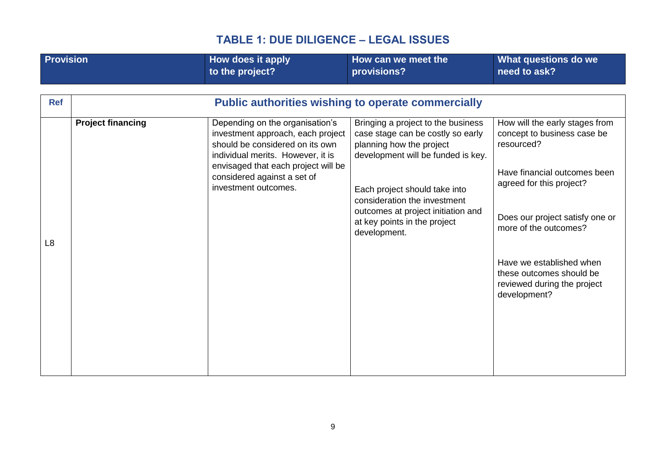<span id="page-8-0"></span>

| <b>Provision</b>             |                          | <b>How does it apply</b><br>to the project?                                                                                                                                                                                                | How can we meet the<br>provisions?                                                                                                                                                                                                                                                                                                                            | What questions do we<br>need to ask?                                                                                                                                                                                                                                                                       |
|------------------------------|--------------------------|--------------------------------------------------------------------------------------------------------------------------------------------------------------------------------------------------------------------------------------------|---------------------------------------------------------------------------------------------------------------------------------------------------------------------------------------------------------------------------------------------------------------------------------------------------------------------------------------------------------------|------------------------------------------------------------------------------------------------------------------------------------------------------------------------------------------------------------------------------------------------------------------------------------------------------------|
| <b>Ref</b><br>L <sub>8</sub> | <b>Project financing</b> | Depending on the organisation's<br>investment approach, each project<br>should be considered on its own<br>individual merits. However, it is<br>envisaged that each project will be<br>considered against a set of<br>investment outcomes. | <b>Public authorities wishing to operate commercially</b><br>Bringing a project to the business<br>case stage can be costly so early<br>planning how the project<br>development will be funded is key.<br>Each project should take into<br>consideration the investment<br>outcomes at project initiation and<br>at key points in the project<br>development. | How will the early stages from<br>concept to business case be<br>resourced?<br>Have financial outcomes been<br>agreed for this project?<br>Does our project satisfy one or<br>more of the outcomes?<br>Have we established when<br>these outcomes should be<br>reviewed during the project<br>development? |
|                              |                          |                                                                                                                                                                                                                                            |                                                                                                                                                                                                                                                                                                                                                               |                                                                                                                                                                                                                                                                                                            |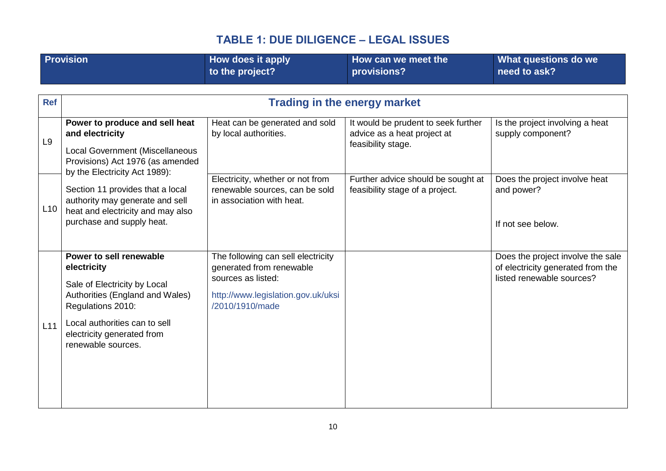<span id="page-9-0"></span>

|                | <b>Provision</b>                                                                                                                                                                                                    | How does it apply<br>to the project?                                                                                                          | How can we meet the<br>provisions?                                                       | What questions do we<br>need to ask?                                                                |
|----------------|---------------------------------------------------------------------------------------------------------------------------------------------------------------------------------------------------------------------|-----------------------------------------------------------------------------------------------------------------------------------------------|------------------------------------------------------------------------------------------|-----------------------------------------------------------------------------------------------------|
| <b>Ref</b>     |                                                                                                                                                                                                                     | <b>Trading in the energy market</b>                                                                                                           |                                                                                          |                                                                                                     |
| L <sub>9</sub> | Power to produce and sell heat<br>and electricity<br><b>Local Government (Miscellaneous</b><br>Provisions) Act 1976 (as amended<br>by the Electricity Act 1989):                                                    | Heat can be generated and sold<br>by local authorities.                                                                                       | It would be prudent to seek further<br>advice as a heat project at<br>feasibility stage. | Is the project involving a heat<br>supply component?                                                |
| L10            | Section 11 provides that a local<br>authority may generate and sell<br>heat and electricity and may also<br>purchase and supply heat.                                                                               | Electricity, whether or not from<br>renewable sources, can be sold<br>in association with heat.                                               | Further advice should be sought at<br>feasibility stage of a project.                    | Does the project involve heat<br>and power?<br>If not see below.                                    |
| L11            | Power to sell renewable<br>electricity<br>Sale of Electricity by Local<br>Authorities (England and Wales)<br>Regulations 2010:<br>Local authorities can to sell<br>electricity generated from<br>renewable sources. | The following can sell electricity<br>generated from renewable<br>sources as listed:<br>http://www.legislation.gov.uk/uksi<br>/2010/1910/made |                                                                                          | Does the project involve the sale<br>of electricity generated from the<br>listed renewable sources? |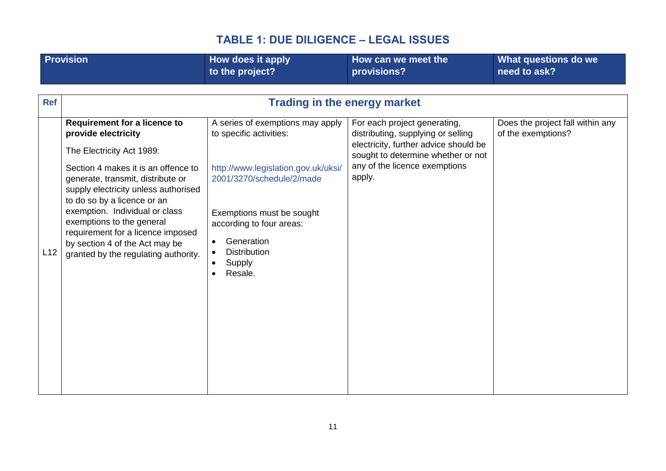|            | <b>Provision</b>                                                                                                                                                           | How does it apply<br>to the project?                                                                            | How can we meet the<br>provisions?                                                                                                                                                 | What questions do we<br>need to ask?                   |
|------------|----------------------------------------------------------------------------------------------------------------------------------------------------------------------------|-----------------------------------------------------------------------------------------------------------------|------------------------------------------------------------------------------------------------------------------------------------------------------------------------------------|--------------------------------------------------------|
| <b>Ref</b> |                                                                                                                                                                            | <b>Trading in the energy market</b>                                                                             |                                                                                                                                                                                    |                                                        |
|            | <b>Requirement for a licence to</b><br>provide electricity<br>The Electricity Act 1989:<br>Section 4 makes it is an offence to                                             | A series of exemptions may apply<br>to specific activities:<br>http://www.legislation.gov.uk/uksi/              | For each project generating,<br>distributing, supplying or selling<br>electricity, further advice should be<br>sought to determine whether or not<br>any of the licence exemptions | Does the project fall within any<br>of the exemptions? |
|            | generate, transmit, distribute or<br>supply electricity unless authorised<br>to do so by a licence or an                                                                   | 2001/3270/schedule/2/made                                                                                       | apply.                                                                                                                                                                             |                                                        |
| L12        | exemption. Individual or class<br>exemptions to the general<br>requirement for a licence imposed<br>by section 4 of the Act may be<br>granted by the regulating authority. | Exemptions must be sought<br>according to four areas:<br>Generation<br><b>Distribution</b><br>Supply<br>Resale. |                                                                                                                                                                                    |                                                        |
|            |                                                                                                                                                                            |                                                                                                                 |                                                                                                                                                                                    |                                                        |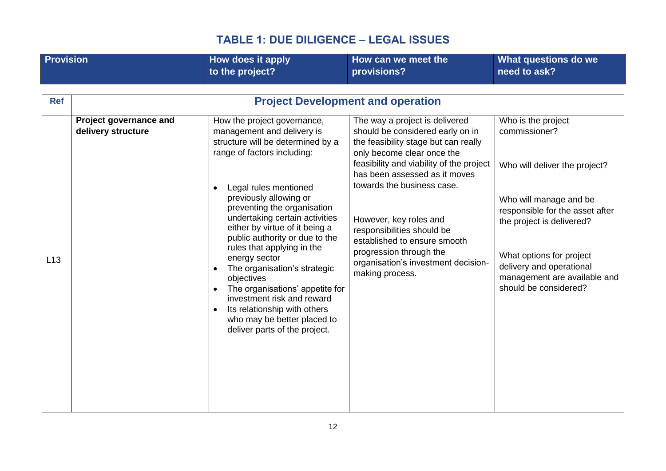<span id="page-11-0"></span>

| <b>Provision</b> |                                              | How does it apply                                                                                                                                                                                                                                                                                                                                                                                                                                                                                                                                                                                | How can we meet the                                                                                                                                                                                                                                                                                                                                                                                                              | What questions do we                                                                                                                                                                                                                                                            |  |  |  |  |
|------------------|----------------------------------------------|--------------------------------------------------------------------------------------------------------------------------------------------------------------------------------------------------------------------------------------------------------------------------------------------------------------------------------------------------------------------------------------------------------------------------------------------------------------------------------------------------------------------------------------------------------------------------------------------------|----------------------------------------------------------------------------------------------------------------------------------------------------------------------------------------------------------------------------------------------------------------------------------------------------------------------------------------------------------------------------------------------------------------------------------|---------------------------------------------------------------------------------------------------------------------------------------------------------------------------------------------------------------------------------------------------------------------------------|--|--|--|--|
|                  |                                              | to the project?                                                                                                                                                                                                                                                                                                                                                                                                                                                                                                                                                                                  | provisions?                                                                                                                                                                                                                                                                                                                                                                                                                      | need to ask?                                                                                                                                                                                                                                                                    |  |  |  |  |
|                  |                                              |                                                                                                                                                                                                                                                                                                                                                                                                                                                                                                                                                                                                  |                                                                                                                                                                                                                                                                                                                                                                                                                                  |                                                                                                                                                                                                                                                                                 |  |  |  |  |
| <b>Ref</b>       |                                              |                                                                                                                                                                                                                                                                                                                                                                                                                                                                                                                                                                                                  | <b>Project Development and operation</b>                                                                                                                                                                                                                                                                                                                                                                                         |                                                                                                                                                                                                                                                                                 |  |  |  |  |
| L13              | Project governance and<br>delivery structure | How the project governance,<br>management and delivery is<br>structure will be determined by a<br>range of factors including:<br>Legal rules mentioned<br>previously allowing or<br>preventing the organisation<br>undertaking certain activities<br>either by virtue of it being a<br>public authority or due to the<br>rules that applying in the<br>energy sector<br>The organisation's strategic<br>objectives<br>The organisations' appetite for<br>$\bullet$<br>investment risk and reward<br>Its relationship with others<br>who may be better placed to<br>deliver parts of the project. | The way a project is delivered<br>should be considered early on in<br>the feasibility stage but can really<br>only become clear once the<br>feasibility and viability of the project<br>has been assessed as it moves<br>towards the business case.<br>However, key roles and<br>responsibilities should be<br>established to ensure smooth<br>progression through the<br>organisation's investment decision-<br>making process. | Who is the project<br>commissioner?<br>Who will deliver the project?<br>Who will manage and be<br>responsible for the asset after<br>the project is delivered?<br>What options for project<br>delivery and operational<br>management are available and<br>should be considered? |  |  |  |  |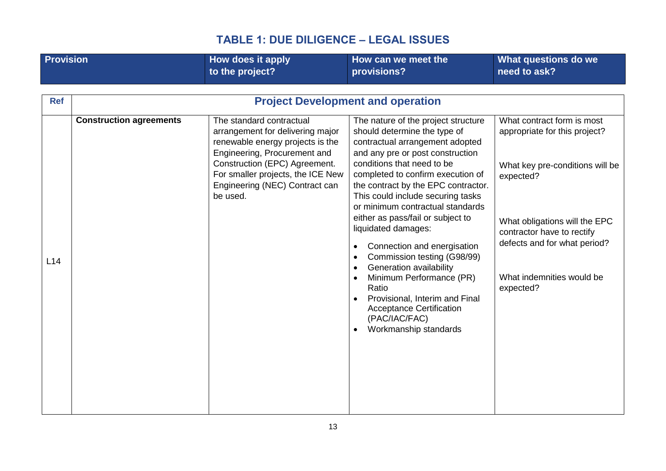<span id="page-12-0"></span>

| <b>Provision</b> |                                | How does it apply                                                                                                                                                                                                                                    | How can we meet the                                                                                                                                                                                                                                                                                                                                                                                                                                                                                                                                                                                                                                 | What questions do we                                                                                                                                                                                                                                 |
|------------------|--------------------------------|------------------------------------------------------------------------------------------------------------------------------------------------------------------------------------------------------------------------------------------------------|-----------------------------------------------------------------------------------------------------------------------------------------------------------------------------------------------------------------------------------------------------------------------------------------------------------------------------------------------------------------------------------------------------------------------------------------------------------------------------------------------------------------------------------------------------------------------------------------------------------------------------------------------------|------------------------------------------------------------------------------------------------------------------------------------------------------------------------------------------------------------------------------------------------------|
|                  |                                | to the project?                                                                                                                                                                                                                                      | provisions?                                                                                                                                                                                                                                                                                                                                                                                                                                                                                                                                                                                                                                         | need to ask?                                                                                                                                                                                                                                         |
|                  |                                |                                                                                                                                                                                                                                                      |                                                                                                                                                                                                                                                                                                                                                                                                                                                                                                                                                                                                                                                     |                                                                                                                                                                                                                                                      |
| <b>Ref</b>       |                                |                                                                                                                                                                                                                                                      | <b>Project Development and operation</b>                                                                                                                                                                                                                                                                                                                                                                                                                                                                                                                                                                                                            |                                                                                                                                                                                                                                                      |
| L14              | <b>Construction agreements</b> | The standard contractual<br>arrangement for delivering major<br>renewable energy projects is the<br>Engineering, Procurement and<br>Construction (EPC) Agreement.<br>For smaller projects, the ICE New<br>Engineering (NEC) Contract can<br>be used. | The nature of the project structure<br>should determine the type of<br>contractual arrangement adopted<br>and any pre or post construction<br>conditions that need to be<br>completed to confirm execution of<br>the contract by the EPC contractor.<br>This could include securing tasks<br>or minimum contractual standards<br>either as pass/fail or subject to<br>liquidated damages:<br>Connection and energisation<br>Commission testing (G98/99)<br>Generation availability<br>$\bullet$<br>Minimum Performance (PR)<br>Ratio<br>Provisional, Interim and Final<br><b>Acceptance Certification</b><br>(PAC/IAC/FAC)<br>Workmanship standards | What contract form is most<br>appropriate for this project?<br>What key pre-conditions will be<br>expected?<br>What obligations will the EPC<br>contractor have to rectify<br>defects and for what period?<br>What indemnities would be<br>expected? |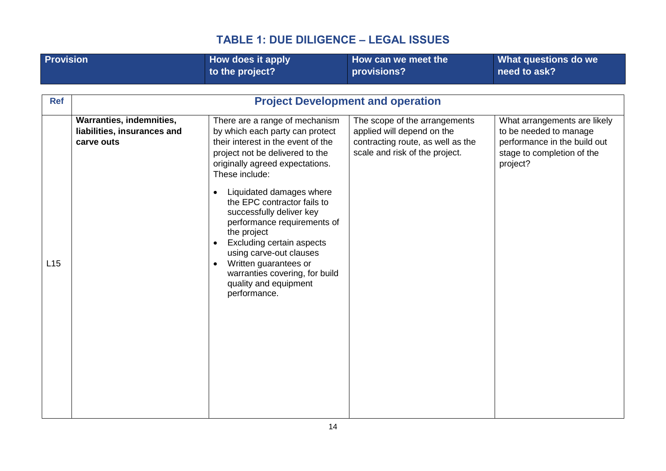| to the project?<br>need to ask?<br>provisions?<br><b>Project Development and operation</b><br><b>Ref</b>                                                                                                                                                                                                                                                                                                                                                                                                                                                                                                                                                                                                                                                                  | What questions do we                                                                                                 |
|---------------------------------------------------------------------------------------------------------------------------------------------------------------------------------------------------------------------------------------------------------------------------------------------------------------------------------------------------------------------------------------------------------------------------------------------------------------------------------------------------------------------------------------------------------------------------------------------------------------------------------------------------------------------------------------------------------------------------------------------------------------------------|----------------------------------------------------------------------------------------------------------------------|
|                                                                                                                                                                                                                                                                                                                                                                                                                                                                                                                                                                                                                                                                                                                                                                           |                                                                                                                      |
|                                                                                                                                                                                                                                                                                                                                                                                                                                                                                                                                                                                                                                                                                                                                                                           |                                                                                                                      |
| Warranties, indemnities,<br>There are a range of mechanism<br>The scope of the arrangements<br>applied will depend on the<br>liabilities, insurances and<br>by which each party can protect<br>their interest in the event of the<br>contracting route, as well as the<br>carve outs<br>scale and risk of the project.<br>project not be delivered to the<br>originally agreed expectations.<br>project?<br>These include:<br>Liquidated damages where<br>$\bullet$<br>the EPC contractor fails to<br>successfully deliver key<br>performance requirements of<br>the project<br>Excluding certain aspects<br>$\bullet$<br>using carve-out clauses<br>L15<br>Written guarantees or<br>$\bullet$<br>warranties covering, for build<br>quality and equipment<br>performance. | What arrangements are likely<br>to be needed to manage<br>performance in the build out<br>stage to completion of the |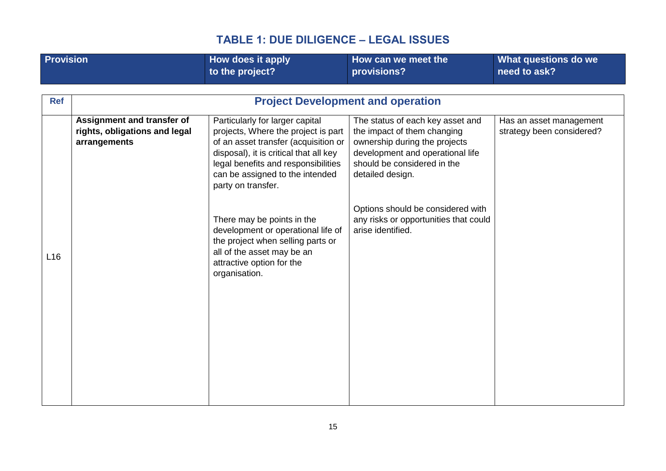<span id="page-14-0"></span>

| <b>Provision</b> |                                                                             | How does it apply<br>to the project?                                                                                                                                                                                                                     | How can we meet the<br>provisions?                                                                                                                                                      | What questions do we<br>need to ask?                 |
|------------------|-----------------------------------------------------------------------------|----------------------------------------------------------------------------------------------------------------------------------------------------------------------------------------------------------------------------------------------------------|-----------------------------------------------------------------------------------------------------------------------------------------------------------------------------------------|------------------------------------------------------|
| <b>Ref</b>       |                                                                             |                                                                                                                                                                                                                                                          | <b>Project Development and operation</b>                                                                                                                                                |                                                      |
|                  | Assignment and transfer of<br>rights, obligations and legal<br>arrangements | Particularly for larger capital<br>projects, Where the project is part<br>of an asset transfer (acquisition or<br>disposal), it is critical that all key<br>legal benefits and responsibilities<br>can be assigned to the intended<br>party on transfer. | The status of each key asset and<br>the impact of them changing<br>ownership during the projects<br>development and operational life<br>should be considered in the<br>detailed design. | Has an asset management<br>strategy been considered? |
| L16              |                                                                             | There may be points in the<br>development or operational life of<br>the project when selling parts or<br>all of the asset may be an<br>attractive option for the<br>organisation.                                                                        | Options should be considered with<br>any risks or opportunities that could<br>arise identified.                                                                                         |                                                      |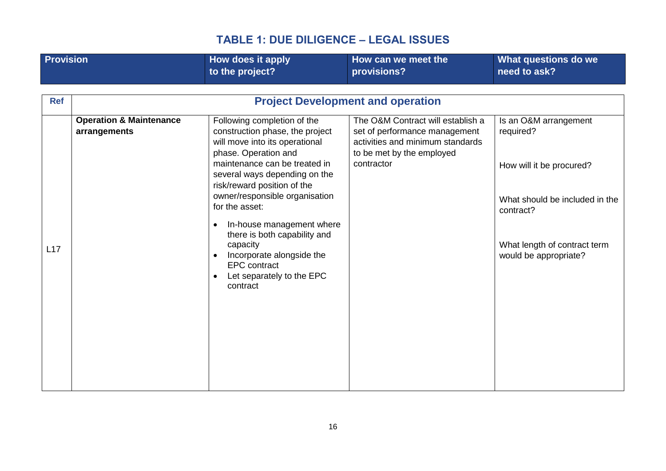| <b>Provision</b> |                                                    | How does it apply<br>to the project?                                                                                                  | How can we meet the<br>provisions?                                                                                                  | What questions do we<br>need to ask?                  |
|------------------|----------------------------------------------------|---------------------------------------------------------------------------------------------------------------------------------------|-------------------------------------------------------------------------------------------------------------------------------------|-------------------------------------------------------|
|                  |                                                    |                                                                                                                                       |                                                                                                                                     |                                                       |
| <b>Ref</b>       |                                                    |                                                                                                                                       | <b>Project Development and operation</b>                                                                                            |                                                       |
|                  | <b>Operation &amp; Maintenance</b><br>arrangements | Following completion of the<br>construction phase, the project<br>will move into its operational<br>phase. Operation and              | The O&M Contract will establish a<br>set of performance management<br>activities and minimum standards<br>to be met by the employed | Is an O&M arrangement<br>required?                    |
|                  |                                                    | maintenance can be treated in<br>several ways depending on the<br>risk/reward position of the                                         | contractor                                                                                                                          | How will it be procured?                              |
|                  |                                                    | owner/responsible organisation<br>for the asset:<br>In-house management where                                                         |                                                                                                                                     | What should be included in the<br>contract?           |
| L17              |                                                    | there is both capability and<br>capacity<br>Incorporate alongside the<br><b>EPC</b> contract<br>Let separately to the EPC<br>contract |                                                                                                                                     | What length of contract term<br>would be appropriate? |
|                  |                                                    |                                                                                                                                       |                                                                                                                                     |                                                       |
|                  |                                                    |                                                                                                                                       |                                                                                                                                     |                                                       |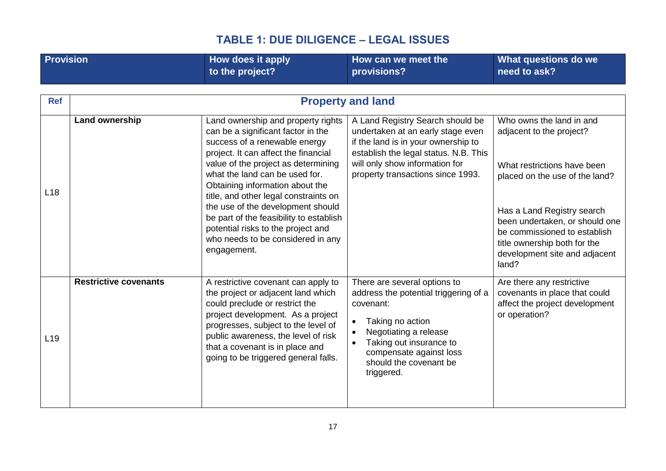<span id="page-16-1"></span><span id="page-16-0"></span>

| <b>Provision</b> |                              | How does it apply<br>to the project?                                                                                                                                                                                                                                                                                                                                                                                                                                             | How can we meet the<br>provisions?                                                                                                                                                                                                                                   | What questions do we<br>need to ask?                                                                                                                                                                                                                                                            |
|------------------|------------------------------|----------------------------------------------------------------------------------------------------------------------------------------------------------------------------------------------------------------------------------------------------------------------------------------------------------------------------------------------------------------------------------------------------------------------------------------------------------------------------------|----------------------------------------------------------------------------------------------------------------------------------------------------------------------------------------------------------------------------------------------------------------------|-------------------------------------------------------------------------------------------------------------------------------------------------------------------------------------------------------------------------------------------------------------------------------------------------|
|                  |                              |                                                                                                                                                                                                                                                                                                                                                                                                                                                                                  |                                                                                                                                                                                                                                                                      |                                                                                                                                                                                                                                                                                                 |
| <b>Ref</b>       |                              |                                                                                                                                                                                                                                                                                                                                                                                                                                                                                  | <b>Property and land</b>                                                                                                                                                                                                                                             |                                                                                                                                                                                                                                                                                                 |
| L18              | Land ownership               | Land ownership and property rights<br>can be a significant factor in the<br>success of a renewable energy<br>project. It can affect the financial<br>value of the project as determining<br>what the land can be used for.<br>Obtaining information about the<br>title, and other legal constraints on<br>the use of the development should<br>be part of the feasibility to establish<br>potential risks to the project and<br>who needs to be considered in any<br>engagement. | A Land Registry Search should be<br>undertaken at an early stage even<br>if the land is in your ownership to<br>establish the legal status. N.B. This<br>will only show information for<br>property transactions since 1993.                                         | Who owns the land in and<br>adjacent to the project?<br>What restrictions have been<br>placed on the use of the land?<br>Has a Land Registry search<br>been undertaken, or should one<br>be commissioned to establish<br>title ownership both for the<br>development site and adjacent<br>land? |
| L <sub>19</sub>  | <b>Restrictive covenants</b> | A restrictive covenant can apply to<br>the project or adjacent land which<br>could preclude or restrict the<br>project development. As a project<br>progresses, subject to the level of<br>public awareness, the level of risk<br>that a covenant is in place and<br>going to be triggered general falls.                                                                                                                                                                        | There are several options to<br>address the potential triggering of a<br>covenant:<br>Taking no action<br>$\bullet$<br>Negotiating a release<br>$\bullet$<br>Taking out insurance to<br>$\bullet$<br>compensate against loss<br>should the covenant be<br>triggered. | Are there any restrictive<br>covenants in place that could<br>affect the project development<br>or operation?                                                                                                                                                                                   |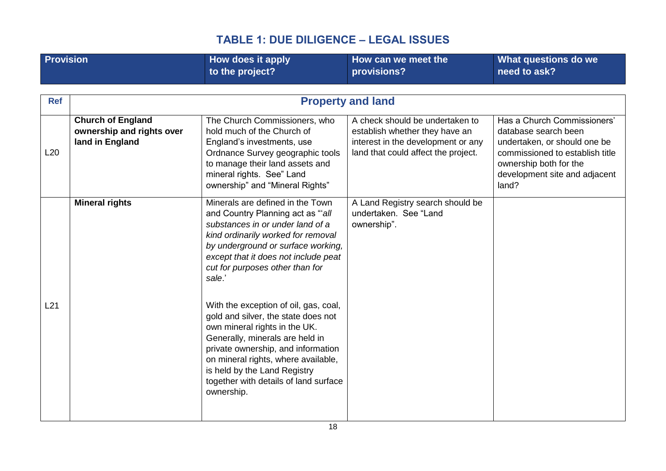| <b>Provision</b> |                                                                          | How does it apply<br>to the project?                                                                                                                                                                                                                                                                                 | How can we meet the<br>provisions?                                                                                                             | What questions do we<br>need to ask?                                                                                                                                                       |
|------------------|--------------------------------------------------------------------------|----------------------------------------------------------------------------------------------------------------------------------------------------------------------------------------------------------------------------------------------------------------------------------------------------------------------|------------------------------------------------------------------------------------------------------------------------------------------------|--------------------------------------------------------------------------------------------------------------------------------------------------------------------------------------------|
| <b>Ref</b>       |                                                                          |                                                                                                                                                                                                                                                                                                                      | <b>Property and land</b>                                                                                                                       |                                                                                                                                                                                            |
| L20              | <b>Church of England</b><br>ownership and rights over<br>land in England | The Church Commissioners, who<br>hold much of the Church of<br>England's investments, use<br>Ordnance Survey geographic tools<br>to manage their land assets and<br>mineral rights. See" Land<br>ownership" and "Mineral Rights"                                                                                     | A check should be undertaken to<br>establish whether they have an<br>interest in the development or any<br>land that could affect the project. | Has a Church Commissioners'<br>database search been<br>undertaken, or should one be<br>commissioned to establish title<br>ownership both for the<br>development site and adjacent<br>land? |
|                  | <b>Mineral rights</b>                                                    | Minerals are defined in the Town<br>and Country Planning act as "all<br>substances in or under land of a<br>kind ordinarily worked for removal<br>by underground or surface working,<br>except that it does not include peat<br>cut for purposes other than for<br>sale.'                                            | A Land Registry search should be<br>undertaken. See "Land<br>ownership".                                                                       |                                                                                                                                                                                            |
| L21              |                                                                          | With the exception of oil, gas, coal,<br>gold and silver, the state does not<br>own mineral rights in the UK.<br>Generally, minerals are held in<br>private ownership, and information<br>on mineral rights, where available,<br>is held by the Land Registry<br>together with details of land surface<br>ownership. |                                                                                                                                                |                                                                                                                                                                                            |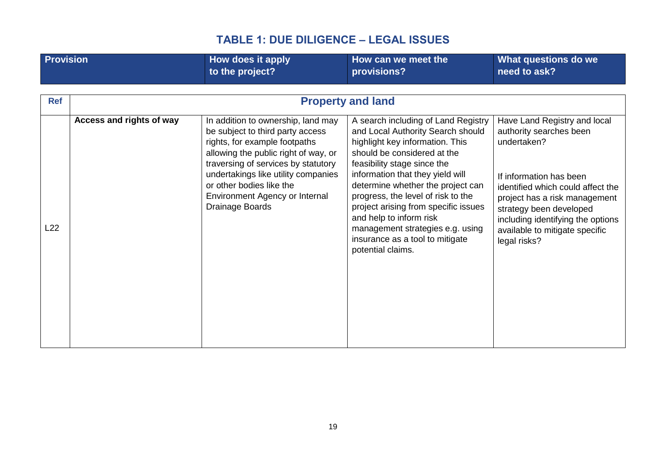| <b>Provision</b>  |                          | <b>How does it apply</b><br>to the project?                                                                                                                                                                                                                                                                    | How can we meet the<br>provisions?                                                                                                                                                                                                                                                                                                                                                                                                                                                  | What questions do we<br>need to ask?                                                                                                                                                                                                                                                      |
|-------------------|--------------------------|----------------------------------------------------------------------------------------------------------------------------------------------------------------------------------------------------------------------------------------------------------------------------------------------------------------|-------------------------------------------------------------------------------------------------------------------------------------------------------------------------------------------------------------------------------------------------------------------------------------------------------------------------------------------------------------------------------------------------------------------------------------------------------------------------------------|-------------------------------------------------------------------------------------------------------------------------------------------------------------------------------------------------------------------------------------------------------------------------------------------|
| <b>Ref</b><br>L22 | Access and rights of way | In addition to ownership, land may<br>be subject to third party access<br>rights, for example footpaths<br>allowing the public right of way, or<br>traversing of services by statutory<br>undertakings like utility companies<br>or other bodies like the<br>Environment Agency or Internal<br>Drainage Boards | <b>Property and land</b><br>A search including of Land Registry<br>and Local Authority Search should<br>highlight key information. This<br>should be considered at the<br>feasibility stage since the<br>information that they yield will<br>determine whether the project can<br>progress, the level of risk to the<br>project arising from specific issues<br>and help to inform risk<br>management strategies e.g. using<br>insurance as a tool to mitigate<br>potential claims. | Have Land Registry and local<br>authority searches been<br>undertaken?<br>If information has been<br>identified which could affect the<br>project has a risk management<br>strategy been developed<br>including identifying the options<br>available to mitigate specific<br>legal risks? |
|                   |                          |                                                                                                                                                                                                                                                                                                                |                                                                                                                                                                                                                                                                                                                                                                                                                                                                                     |                                                                                                                                                                                                                                                                                           |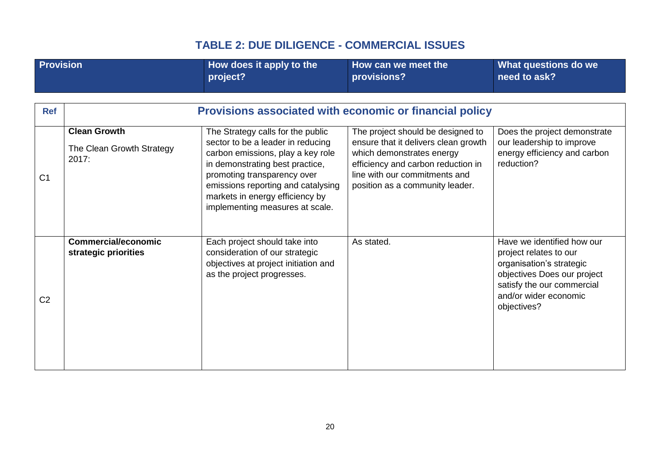<span id="page-19-1"></span><span id="page-19-0"></span>

| Provision      |                                                           | How does it apply to the<br>project?                                                                                                                                                                                                                                                      | How can we meet the<br>provisions?                                                                                                                                                                               | What questions do we<br>need to ask?                                                                                                                                                  |
|----------------|-----------------------------------------------------------|-------------------------------------------------------------------------------------------------------------------------------------------------------------------------------------------------------------------------------------------------------------------------------------------|------------------------------------------------------------------------------------------------------------------------------------------------------------------------------------------------------------------|---------------------------------------------------------------------------------------------------------------------------------------------------------------------------------------|
| <b>Ref</b>     |                                                           | Provisions associated with economic or financial policy                                                                                                                                                                                                                                   |                                                                                                                                                                                                                  |                                                                                                                                                                                       |
| C <sub>1</sub> | <b>Clean Growth</b><br>The Clean Growth Strategy<br>2017: | The Strategy calls for the public<br>sector to be a leader in reducing<br>carbon emissions, play a key role<br>in demonstrating best practice,<br>promoting transparency over<br>emissions reporting and catalysing<br>markets in energy efficiency by<br>implementing measures at scale. | The project should be designed to<br>ensure that it delivers clean growth<br>which demonstrates energy<br>efficiency and carbon reduction in<br>line with our commitments and<br>position as a community leader. | Does the project demonstrate<br>our leadership to improve<br>energy efficiency and carbon<br>reduction?                                                                               |
| C <sub>2</sub> | <b>Commercial/economic</b><br>strategic priorities        | Each project should take into<br>consideration of our strategic<br>objectives at project initiation and<br>as the project progresses.                                                                                                                                                     | As stated.                                                                                                                                                                                                       | Have we identified how our<br>project relates to our<br>organisation's strategic<br>objectives Does our project<br>satisfy the our commercial<br>and/or wider economic<br>objectives? |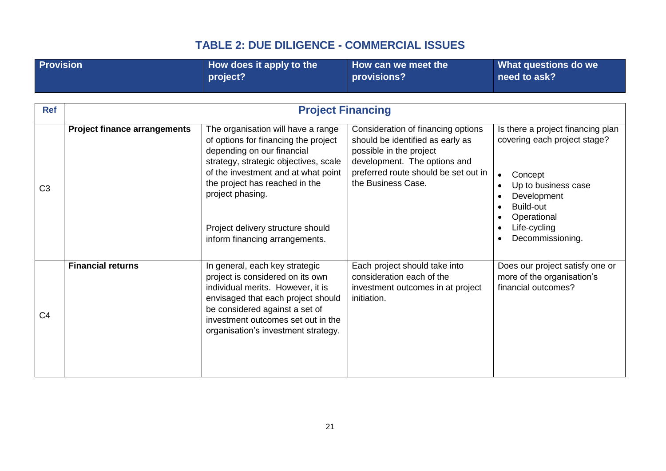<span id="page-20-0"></span>

| <b>Provision</b> |                                     | How does it apply to the<br>project?                                                                                                                                                                                                                                                                                  | How can we meet the<br>provisions?                                                                                                                                                              | What questions do we<br>need to ask?                                                                                                                                                            |
|------------------|-------------------------------------|-----------------------------------------------------------------------------------------------------------------------------------------------------------------------------------------------------------------------------------------------------------------------------------------------------------------------|-------------------------------------------------------------------------------------------------------------------------------------------------------------------------------------------------|-------------------------------------------------------------------------------------------------------------------------------------------------------------------------------------------------|
| <b>Ref</b>       |                                     | <b>Project Financing</b>                                                                                                                                                                                                                                                                                              |                                                                                                                                                                                                 |                                                                                                                                                                                                 |
| C <sub>3</sub>   | <b>Project finance arrangements</b> | The organisation will have a range<br>of options for financing the project<br>depending on our financial<br>strategy, strategic objectives, scale<br>of the investment and at what point<br>the project has reached in the<br>project phasing.<br>Project delivery structure should<br>inform financing arrangements. | Consideration of financing options<br>should be identified as early as<br>possible in the project<br>development. The options and<br>preferred route should be set out in<br>the Business Case. | Is there a project financing plan<br>covering each project stage?<br>Concept<br>Up to business case<br>Development<br>Build-out<br>$\bullet$<br>Operational<br>Life-cycling<br>Decommissioning. |
| C <sub>4</sub>   | <b>Financial returns</b>            | In general, each key strategic<br>project is considered on its own<br>individual merits. However, it is<br>envisaged that each project should<br>be considered against a set of<br>investment outcomes set out in the<br>organisation's investment strategy.                                                          | Each project should take into<br>consideration each of the<br>investment outcomes in at project<br>initiation.                                                                                  | Does our project satisfy one or<br>more of the organisation's<br>financial outcomes?                                                                                                            |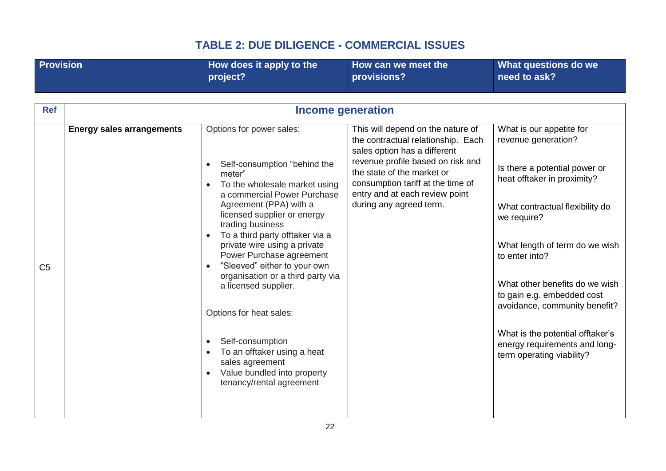|                | <b>Provision</b>                 | How does it apply to the<br>project?                                                                                                                                                                                                                                                                                                                                                                                                                                                                                                                                    | How can we meet the<br>provisions?                                                                                                                                                                                                                                           | What questions do we<br>need to ask?                                                                                                                                                                                                                                                                                                                                                                                     |
|----------------|----------------------------------|-------------------------------------------------------------------------------------------------------------------------------------------------------------------------------------------------------------------------------------------------------------------------------------------------------------------------------------------------------------------------------------------------------------------------------------------------------------------------------------------------------------------------------------------------------------------------|------------------------------------------------------------------------------------------------------------------------------------------------------------------------------------------------------------------------------------------------------------------------------|--------------------------------------------------------------------------------------------------------------------------------------------------------------------------------------------------------------------------------------------------------------------------------------------------------------------------------------------------------------------------------------------------------------------------|
| <b>Ref</b>     |                                  |                                                                                                                                                                                                                                                                                                                                                                                                                                                                                                                                                                         | <b>Income generation</b>                                                                                                                                                                                                                                                     |                                                                                                                                                                                                                                                                                                                                                                                                                          |
| C <sub>5</sub> | <b>Energy sales arrangements</b> | Options for power sales:<br>Self-consumption "behind the<br>meter"<br>To the wholesale market using<br>a commercial Power Purchase<br>Agreement (PPA) with a<br>licensed supplier or energy<br>trading business<br>To a third party offtaker via a<br>private wire using a private<br>Power Purchase agreement<br>"Sleeved" either to your own<br>organisation or a third party via<br>a licensed supplier.<br>Options for heat sales:<br>Self-consumption<br>To an offtaker using a heat<br>sales agreement<br>Value bundled into property<br>tenancy/rental agreement | This will depend on the nature of<br>the contractual relationship. Each<br>sales option has a different<br>revenue profile based on risk and<br>the state of the market or<br>consumption tariff at the time of<br>entry and at each review point<br>during any agreed term. | What is our appetite for<br>revenue generation?<br>Is there a potential power or<br>heat offtaker in proximity?<br>What contractual flexibility do<br>we require?<br>What length of term do we wish<br>to enter into?<br>What other benefits do we wish<br>to gain e.g. embedded cost<br>avoidance, community benefit?<br>What is the potential offtaker's<br>energy requirements and long-<br>term operating viability? |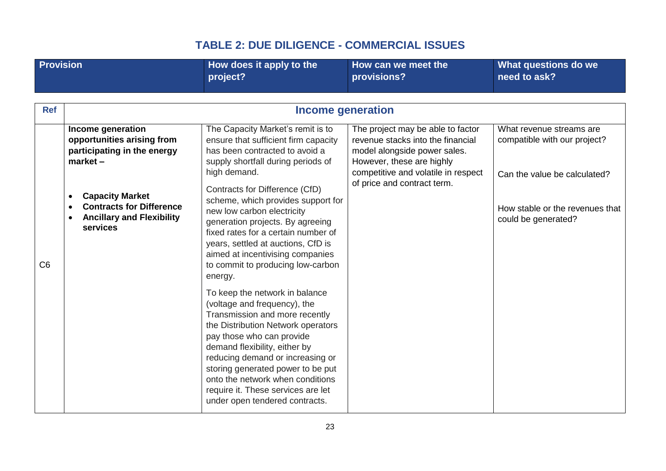| <b>Provision</b> |                                                                                                                                                  | How does it apply to the<br>project?                                                                                                                                                                                                                                                                                                                                                      | How can we meet the<br>provisions?                                                                                                  | What questions do we<br>need to ask?                     |
|------------------|--------------------------------------------------------------------------------------------------------------------------------------------------|-------------------------------------------------------------------------------------------------------------------------------------------------------------------------------------------------------------------------------------------------------------------------------------------------------------------------------------------------------------------------------------------|-------------------------------------------------------------------------------------------------------------------------------------|----------------------------------------------------------|
|                  |                                                                                                                                                  |                                                                                                                                                                                                                                                                                                                                                                                           |                                                                                                                                     |                                                          |
| <b>Ref</b>       |                                                                                                                                                  | <b>Income generation</b>                                                                                                                                                                                                                                                                                                                                                                  |                                                                                                                                     |                                                          |
|                  | Income generation<br>opportunities arising from<br>participating in the energy<br>$market -$                                                     | The Capacity Market's remit is to<br>ensure that sufficient firm capacity<br>has been contracted to avoid a<br>supply shortfall during periods of                                                                                                                                                                                                                                         | The project may be able to factor<br>revenue stacks into the financial<br>model alongside power sales.<br>However, these are highly | What revenue streams are<br>compatible with our project? |
|                  |                                                                                                                                                  | high demand.                                                                                                                                                                                                                                                                                                                                                                              | competitive and volatile in respect<br>of price and contract term.                                                                  | Can the value be calculated?                             |
| C6               | <b>Capacity Market</b><br>$\bullet$<br><b>Contracts for Difference</b><br>$\bullet$<br><b>Ancillary and Flexibility</b><br>$\bullet$<br>services | Contracts for Difference (CfD)<br>scheme, which provides support for<br>new low carbon electricity<br>generation projects. By agreeing<br>fixed rates for a certain number of<br>years, settled at auctions, CfD is<br>aimed at incentivising companies<br>to commit to producing low-carbon<br>energy.                                                                                   |                                                                                                                                     | How stable or the revenues that<br>could be generated?   |
|                  |                                                                                                                                                  | To keep the network in balance<br>(voltage and frequency), the<br>Transmission and more recently<br>the Distribution Network operators<br>pay those who can provide<br>demand flexibility, either by<br>reducing demand or increasing or<br>storing generated power to be put<br>onto the network when conditions<br>require it. These services are let<br>under open tendered contracts. |                                                                                                                                     |                                                          |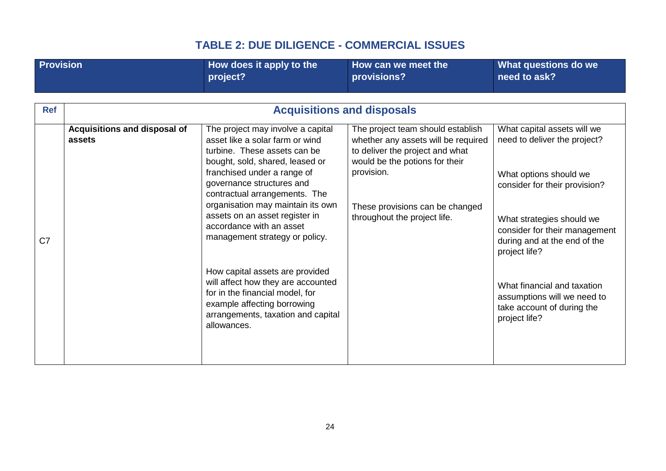| <b>Provision</b> |                              | How does it apply to the<br>project?                                                                                                                                                                                                                                                                                                 | How can we meet the<br>provisions?                                                                                                                                                        | What questions do we<br>need to ask?                                                                                                                                                                   |
|------------------|------------------------------|--------------------------------------------------------------------------------------------------------------------------------------------------------------------------------------------------------------------------------------------------------------------------------------------------------------------------------------|-------------------------------------------------------------------------------------------------------------------------------------------------------------------------------------------|--------------------------------------------------------------------------------------------------------------------------------------------------------------------------------------------------------|
| <b>Ref</b>       | Acquisitions and disposal of | <b>Acquisitions and disposals</b><br>The project may involve a capital                                                                                                                                                                                                                                                               | The project team should establish                                                                                                                                                         | What capital assets will we                                                                                                                                                                            |
| C <sub>7</sub>   | assets                       | asset like a solar farm or wind<br>turbine. These assets can be<br>bought, sold, shared, leased or<br>franchised under a range of<br>governance structures and<br>contractual arrangements. The<br>organisation may maintain its own<br>assets on an asset register in<br>accordance with an asset<br>management strategy or policy. | whether any assets will be required<br>to deliver the project and what<br>would be the potions for their<br>provision.<br>These provisions can be changed<br>throughout the project life. | need to deliver the project?<br>What options should we<br>consider for their provision?<br>What strategies should we<br>consider for their management<br>during and at the end of the<br>project life? |
|                  |                              | How capital assets are provided<br>will affect how they are accounted<br>for in the financial model, for<br>example affecting borrowing<br>arrangements, taxation and capital<br>allowances.                                                                                                                                         |                                                                                                                                                                                           | What financial and taxation<br>assumptions will we need to<br>take account of during the<br>project life?                                                                                              |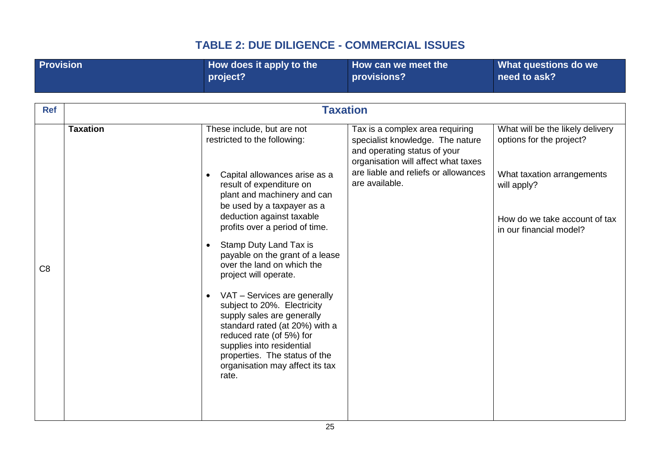<span id="page-24-0"></span>

| <b>Provision</b> |                 | How does it apply to the<br>project?                                                                                                                                                                                                                              | How can we meet the<br>provisions?                                                                                                         | What questions do we<br>need to ask?                         |
|------------------|-----------------|-------------------------------------------------------------------------------------------------------------------------------------------------------------------------------------------------------------------------------------------------------------------|--------------------------------------------------------------------------------------------------------------------------------------------|--------------------------------------------------------------|
| <b>Ref</b>       |                 |                                                                                                                                                                                                                                                                   | <b>Taxation</b>                                                                                                                            |                                                              |
|                  | <b>Taxation</b> | These include, but are not<br>restricted to the following:                                                                                                                                                                                                        | Tax is a complex area requiring<br>specialist knowledge. The nature<br>and operating status of your<br>organisation will affect what taxes | What will be the likely delivery<br>options for the project? |
|                  |                 | Capital allowances arise as a<br>result of expenditure on<br>plant and machinery and can<br>be used by a taxpayer as a                                                                                                                                            | are liable and reliefs or allowances<br>are available.                                                                                     | What taxation arrangements<br>will apply?                    |
|                  |                 | deduction against taxable<br>profits over a period of time.<br>Stamp Duty Land Tax is<br>$\bullet$                                                                                                                                                                |                                                                                                                                            | How do we take account of tax<br>in our financial model?     |
| C <sub>8</sub>   |                 | payable on the grant of a lease<br>over the land on which the<br>project will operate.                                                                                                                                                                            |                                                                                                                                            |                                                              |
|                  |                 | VAT - Services are generally<br>subject to 20%. Electricity<br>supply sales are generally<br>standard rated (at 20%) with a<br>reduced rate (of 5%) for<br>supplies into residential<br>properties. The status of the<br>organisation may affect its tax<br>rate. |                                                                                                                                            |                                                              |
|                  |                 |                                                                                                                                                                                                                                                                   |                                                                                                                                            |                                                              |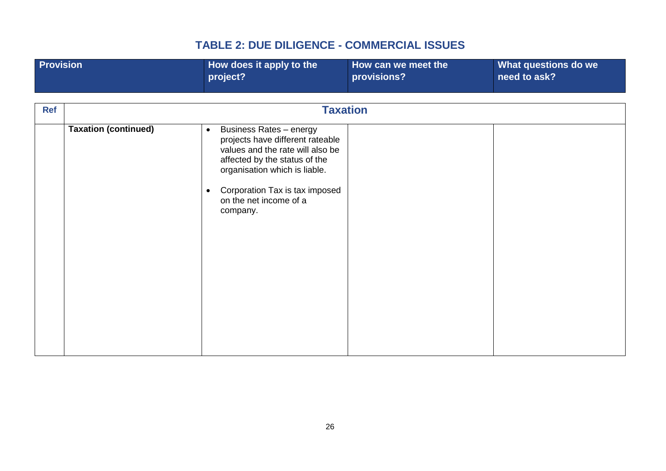| <b>Provision</b> |                             | How does it apply to the<br>project?                                                                                                                                                                                                                          | How can we meet the<br>provisions? | What questions do we<br>need to ask? |
|------------------|-----------------------------|---------------------------------------------------------------------------------------------------------------------------------------------------------------------------------------------------------------------------------------------------------------|------------------------------------|--------------------------------------|
| <b>Ref</b>       |                             |                                                                                                                                                                                                                                                               | <b>Taxation</b>                    |                                      |
|                  |                             |                                                                                                                                                                                                                                                               |                                    |                                      |
|                  | <b>Taxation (continued)</b> | <b>Business Rates - energy</b><br>$\bullet$<br>projects have different rateable<br>values and the rate will also be<br>affected by the status of the<br>organisation which is liable.<br>Corporation Tax is tax imposed<br>on the net income of a<br>company. |                                    |                                      |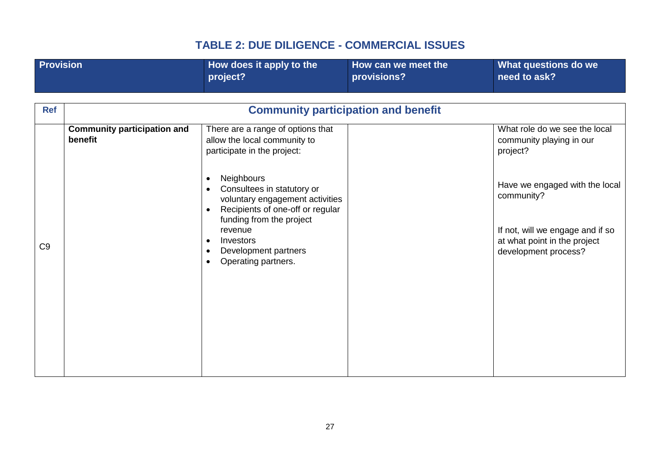| <b>Provision</b> |                                               | How does it apply to the<br>project?                                                                                                                                                                                                                                                                                                                                 | How can we meet the<br>provisions? | What questions do we<br>need to ask?                                                                                                                                                                              |  |  |
|------------------|-----------------------------------------------|----------------------------------------------------------------------------------------------------------------------------------------------------------------------------------------------------------------------------------------------------------------------------------------------------------------------------------------------------------------------|------------------------------------|-------------------------------------------------------------------------------------------------------------------------------------------------------------------------------------------------------------------|--|--|
| <b>Ref</b>       | <b>Community participation and benefit</b>    |                                                                                                                                                                                                                                                                                                                                                                      |                                    |                                                                                                                                                                                                                   |  |  |
| C <sub>9</sub>   | <b>Community participation and</b><br>benefit | There are a range of options that<br>allow the local community to<br>participate in the project:<br><b>Neighbours</b><br>$\bullet$<br>Consultees in statutory or<br>voluntary engagement activities<br>Recipients of one-off or regular<br>$\bullet$<br>funding from the project<br>revenue<br>Investors<br>Development partners<br>Operating partners.<br>$\bullet$ |                                    | What role do we see the local<br>community playing in our<br>project?<br>Have we engaged with the local<br>community?<br>If not, will we engage and if so<br>at what point in the project<br>development process? |  |  |
|                  |                                               |                                                                                                                                                                                                                                                                                                                                                                      |                                    |                                                                                                                                                                                                                   |  |  |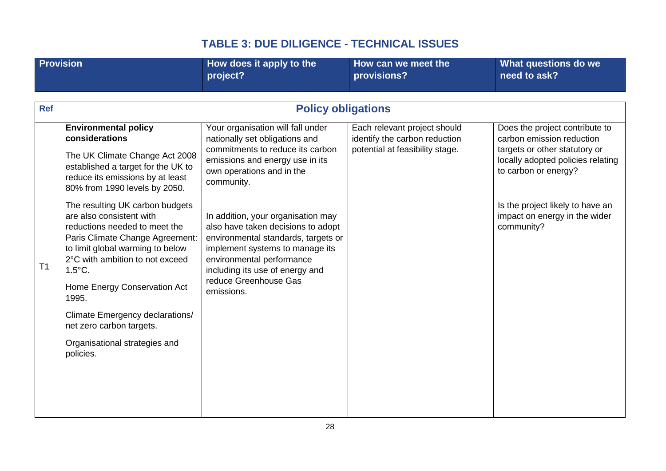<span id="page-27-0"></span>

| <b>Provision</b> |                                                                                                                                                                                                                                                                                                                                                                                                                                                                                                                                                                                | How does it apply to the<br>project?                                                                                                                                                                                                                                                                                                                                                                                                               | How can we meet the<br>provisions?                                                               | What questions do we<br>need to ask?                                                                                                                                                                                                         |  |  |
|------------------|--------------------------------------------------------------------------------------------------------------------------------------------------------------------------------------------------------------------------------------------------------------------------------------------------------------------------------------------------------------------------------------------------------------------------------------------------------------------------------------------------------------------------------------------------------------------------------|----------------------------------------------------------------------------------------------------------------------------------------------------------------------------------------------------------------------------------------------------------------------------------------------------------------------------------------------------------------------------------------------------------------------------------------------------|--------------------------------------------------------------------------------------------------|----------------------------------------------------------------------------------------------------------------------------------------------------------------------------------------------------------------------------------------------|--|--|
|                  |                                                                                                                                                                                                                                                                                                                                                                                                                                                                                                                                                                                |                                                                                                                                                                                                                                                                                                                                                                                                                                                    |                                                                                                  |                                                                                                                                                                                                                                              |  |  |
| <b>Ref</b>       |                                                                                                                                                                                                                                                                                                                                                                                                                                                                                                                                                                                | <b>Policy obligations</b>                                                                                                                                                                                                                                                                                                                                                                                                                          |                                                                                                  |                                                                                                                                                                                                                                              |  |  |
| T <sub>1</sub>   | <b>Environmental policy</b><br>considerations<br>The UK Climate Change Act 2008<br>established a target for the UK to<br>reduce its emissions by at least<br>80% from 1990 levels by 2050.<br>The resulting UK carbon budgets<br>are also consistent with<br>reductions needed to meet the<br>Paris Climate Change Agreement:<br>to limit global warming to below<br>2°C with ambition to not exceed<br>$1.5^{\circ}$ C.<br>Home Energy Conservation Act<br>1995.<br>Climate Emergency declarations/<br>net zero carbon targets.<br>Organisational strategies and<br>policies. | Your organisation will fall under<br>nationally set obligations and<br>commitments to reduce its carbon<br>emissions and energy use in its<br>own operations and in the<br>community.<br>In addition, your organisation may<br>also have taken decisions to adopt<br>environmental standards, targets or<br>implement systems to manage its<br>environmental performance<br>including its use of energy and<br>reduce Greenhouse Gas<br>emissions. | Each relevant project should<br>identify the carbon reduction<br>potential at feasibility stage. | Does the project contribute to<br>carbon emission reduction<br>targets or other statutory or<br>locally adopted policies relating<br>to carbon or energy?<br>Is the project likely to have an<br>impact on energy in the wider<br>community? |  |  |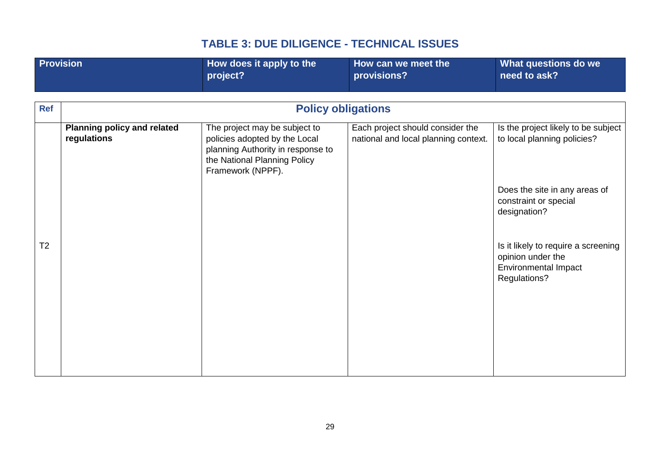<span id="page-28-0"></span>

| <b>Provision</b> |                                                   | How does it apply to the<br>project?                                                                                                                     | How can we meet the<br>provisions?                                       | What questions do we<br>need to ask?                                                                    |
|------------------|---------------------------------------------------|----------------------------------------------------------------------------------------------------------------------------------------------------------|--------------------------------------------------------------------------|---------------------------------------------------------------------------------------------------------|
|                  |                                                   |                                                                                                                                                          |                                                                          |                                                                                                         |
| <b>Ref</b>       |                                                   | <b>Policy obligations</b>                                                                                                                                |                                                                          |                                                                                                         |
|                  | <b>Planning policy and related</b><br>regulations | The project may be subject to<br>policies adopted by the Local<br>planning Authority in response to<br>the National Planning Policy<br>Framework (NPPF). | Each project should consider the<br>national and local planning context. | Is the project likely to be subject<br>to local planning policies?                                      |
|                  |                                                   |                                                                                                                                                          |                                                                          | Does the site in any areas of<br>constraint or special<br>designation?                                  |
| T <sub>2</sub>   |                                                   |                                                                                                                                                          |                                                                          | Is it likely to require a screening<br>opinion under the<br><b>Environmental Impact</b><br>Regulations? |
|                  |                                                   |                                                                                                                                                          |                                                                          |                                                                                                         |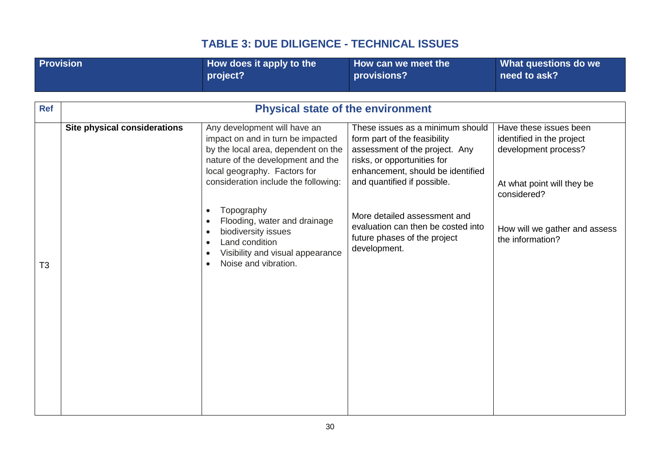<span id="page-29-0"></span>

| <b>Provision</b> |                              | How does it apply to the<br>project?                                                                                                                                                                                  | How can we meet the<br>provisions?                                                                                                                                                                    | What questions do we<br>need to ask?                                                                                     |
|------------------|------------------------------|-----------------------------------------------------------------------------------------------------------------------------------------------------------------------------------------------------------------------|-------------------------------------------------------------------------------------------------------------------------------------------------------------------------------------------------------|--------------------------------------------------------------------------------------------------------------------------|
|                  |                              |                                                                                                                                                                                                                       |                                                                                                                                                                                                       |                                                                                                                          |
|                  |                              |                                                                                                                                                                                                                       |                                                                                                                                                                                                       |                                                                                                                          |
| <b>Ref</b>       |                              | <b>Physical state of the environment</b>                                                                                                                                                                              |                                                                                                                                                                                                       |                                                                                                                          |
|                  | Site physical considerations | Any development will have an<br>impact on and in turn be impacted<br>by the local area, dependent on the<br>nature of the development and the<br>local geography. Factors for<br>consideration include the following: | These issues as a minimum should<br>form part of the feasibility<br>assessment of the project. Any<br>risks, or opportunities for<br>enhancement, should be identified<br>and quantified if possible. | Have these issues been<br>identified in the project<br>development process?<br>At what point will they be<br>considered? |
| T <sub>3</sub>   |                              | Topography<br>Flooding, water and drainage<br>biodiversity issues<br>Land condition<br>Visibility and visual appearance<br>Noise and vibration.                                                                       | More detailed assessment and<br>evaluation can then be costed into<br>future phases of the project<br>development.                                                                                    | How will we gather and assess<br>the information?                                                                        |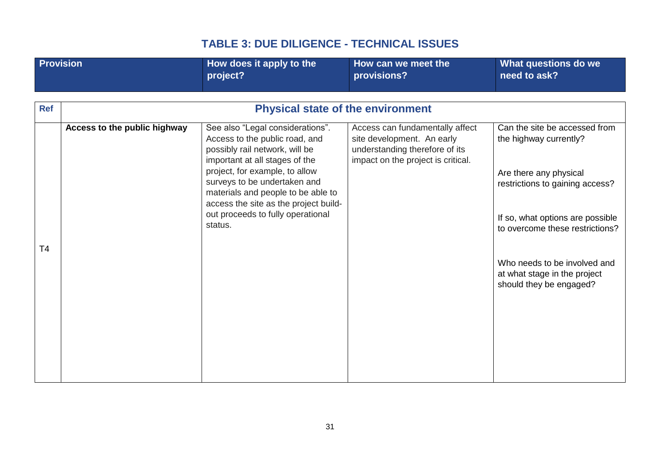| <b>Provision</b> |                              | How does it apply to the<br>project?                                                                                                          | How can we meet the<br>provisions?                                                                                                    | What questions do we<br>need to ask?                                                    |
|------------------|------------------------------|-----------------------------------------------------------------------------------------------------------------------------------------------|---------------------------------------------------------------------------------------------------------------------------------------|-----------------------------------------------------------------------------------------|
|                  |                              |                                                                                                                                               |                                                                                                                                       |                                                                                         |
|                  |                              |                                                                                                                                               |                                                                                                                                       |                                                                                         |
| <b>Ref</b>       |                              | <b>Physical state of the environment</b>                                                                                                      |                                                                                                                                       |                                                                                         |
|                  | Access to the public highway | See also "Legal considerations".<br>Access to the public road, and<br>possibly rail network, will be<br>important at all stages of the        | Access can fundamentally affect<br>site development. An early<br>understanding therefore of its<br>impact on the project is critical. | Can the site be accessed from<br>the highway currently?                                 |
|                  |                              | project, for example, to allow<br>surveys to be undertaken and<br>materials and people to be able to<br>access the site as the project build- |                                                                                                                                       | Are there any physical<br>restrictions to gaining access?                               |
| T4               |                              | out proceeds to fully operational<br>status.                                                                                                  |                                                                                                                                       | If so, what options are possible<br>to overcome these restrictions?                     |
|                  |                              |                                                                                                                                               |                                                                                                                                       | Who needs to be involved and<br>at what stage in the project<br>should they be engaged? |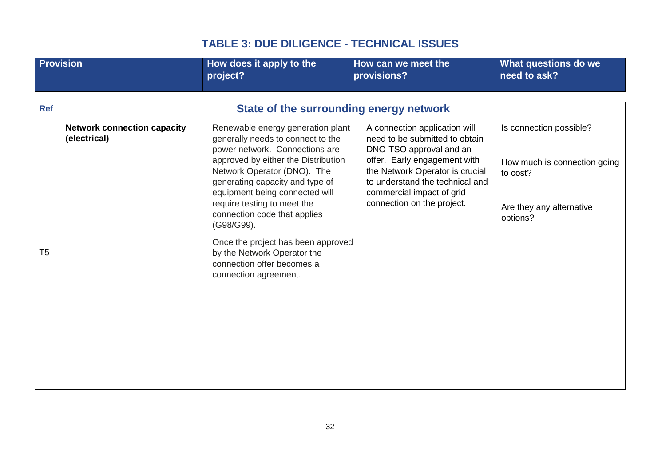| <b>Provision</b> |                                                    | How does it apply to the<br>project?                                                                                                                                                                                                                                                                                                                                                                                                                         | How can we meet the<br>provisions?                                                                                                                                                                                                                          | What questions do we<br>need to ask?                                                                        |
|------------------|----------------------------------------------------|--------------------------------------------------------------------------------------------------------------------------------------------------------------------------------------------------------------------------------------------------------------------------------------------------------------------------------------------------------------------------------------------------------------------------------------------------------------|-------------------------------------------------------------------------------------------------------------------------------------------------------------------------------------------------------------------------------------------------------------|-------------------------------------------------------------------------------------------------------------|
|                  |                                                    |                                                                                                                                                                                                                                                                                                                                                                                                                                                              |                                                                                                                                                                                                                                                             |                                                                                                             |
| <b>Ref</b>       |                                                    | State of the surrounding energy network                                                                                                                                                                                                                                                                                                                                                                                                                      |                                                                                                                                                                                                                                                             |                                                                                                             |
| T <sub>5</sub>   | <b>Network connection capacity</b><br>(electrical) | Renewable energy generation plant<br>generally needs to connect to the<br>power network. Connections are<br>approved by either the Distribution<br>Network Operator (DNO). The<br>generating capacity and type of<br>equipment being connected will<br>require testing to meet the<br>connection code that applies<br>(G98/G99).<br>Once the project has been approved<br>by the Network Operator the<br>connection offer becomes a<br>connection agreement. | A connection application will<br>need to be submitted to obtain<br>DNO-TSO approval and an<br>offer. Early engagement with<br>the Network Operator is crucial<br>to understand the technical and<br>commercial impact of grid<br>connection on the project. | Is connection possible?<br>How much is connection going<br>to cost?<br>Are they any alternative<br>options? |